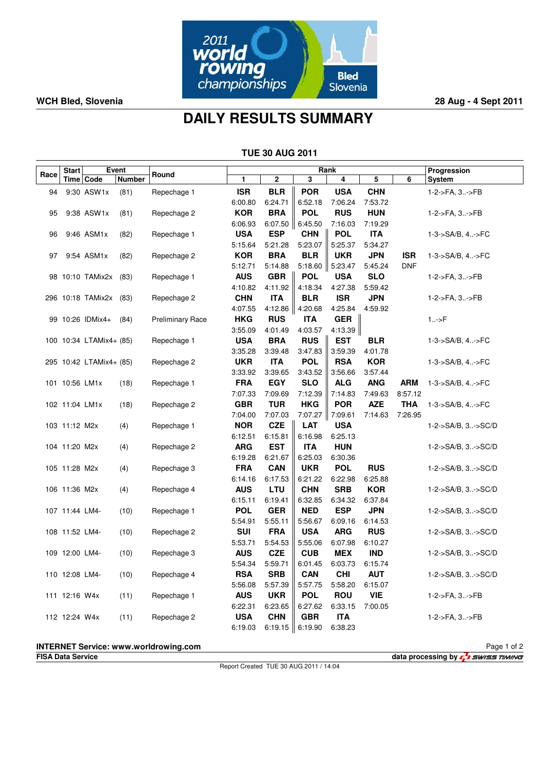

**WCH Bled, Slovenia 28 Aug - 4 Sept 2011**

## **DAILY RESULTS SUMMARY**

**TUE 30 AUG 2011**

|      | Event<br><b>Start</b> |                         |               |                         | Rank                  |                       |                       |                           |            |            | Progression        |
|------|-----------------------|-------------------------|---------------|-------------------------|-----------------------|-----------------------|-----------------------|---------------------------|------------|------------|--------------------|
| Race |                       | Time   Code             | <b>Number</b> | Round                   | 1                     | $\mathbf{2}$          | 3                     | 4                         | 5          | 6          | System             |
| 94   |                       | 9:30 ASW1x              | (81)          | Repechage 1             | <b>ISR</b>            | <b>BLR</b>            | <b>POR</b>            | <b>USA</b>                | <b>CHN</b> |            | 1-2->FA, 3->FB     |
|      |                       |                         |               |                         | 6:00.80               | 6:24.71               | 6:52.18               | 7:06.24                   | 7:53.72    |            |                    |
| 95   |                       | 9:38 ASW1x              | (81)          | Repechage 2             | KOR                   | <b>BRA</b>            | <b>POL</b>            | <b>RUS</b>                | <b>HUN</b> |            | 1-2->FA, 3->FB     |
|      |                       |                         |               |                         | 6:06.93               | 6:07.50               | 6:45.50               | 7:16.03                   | 7:19.29    |            |                    |
| 96   |                       | 9:46 ASM1x              | (82)          | Repechage 1             | <b>USA</b>            | <b>ESP</b>            | <b>CHN</b>            | <b>POL</b>                | <b>ITA</b> |            | 1-3->SA/B, 4->FC   |
|      |                       |                         |               |                         | 5:15.64               | 5:21.28               | 5:23.07               | 5:25.37                   | 5:34.27    |            |                    |
| 97   |                       | 9:54 ASM1x              | (82)          | Repechage 2             | <b>KOR</b>            | <b>BRA</b>            | <b>BLR</b>            | <b>UKR</b>                | <b>JPN</b> | <b>ISR</b> | 1-3->SA/B, 4->FC   |
|      |                       |                         |               |                         | 5:12.71               | 5:14.88               | 5:18.60               | 5:23.47                   | 5:45.24    | <b>DNF</b> |                    |
|      |                       | 98 10:10 TAMix2x        | (83)          | Repechage 1             | <b>AUS</b>            | <b>GBR</b>            | <b>POL</b>            | <b>USA</b>                | <b>SLO</b> |            | 1-2->FA, 3->FB     |
|      |                       |                         |               |                         | 4:10.82               | 4:11.92               | 4:18.34               | 4:27.38                   | 5:59.42    |            |                    |
|      |                       | 296 10:18 TAMix2x (83)  |               | Repechage 2             | <b>CHN</b>            | <b>ITA</b>            | <b>BLR</b>            | <b>ISR</b>                | <b>JPN</b> |            | 1-2->FA, 3->FB     |
|      |                       |                         |               |                         | 4:07.55               | 4:12.86               | 4:20.68               | 4:25.84                   | 4:59.92    |            |                    |
|      |                       | 99 10:26 IDMix4+        | (84)          | <b>Preliminary Race</b> | <b>HKG</b>            | <b>RUS</b>            | <b>ITA</b>            | <b>GER</b><br>$\parallel$ |            |            | $1.-$ >F           |
|      |                       |                         |               |                         | 3:55.09               | 4:01.49               | 4:03.57               | 4:13.39                   |            |            |                    |
|      |                       | 100 10:34 LTAMix4+ (85) |               | Repechage 1             | <b>USA</b>            | <b>BRA</b>            | <b>RUS</b>            | <b>EST</b>                | <b>BLR</b> |            | 1-3->SA/B, 4->FC   |
|      |                       |                         |               |                         | 3:35.28               | 3:39.48               | 3:47.83               | 3:59.39                   | 4:01.78    |            |                    |
|      |                       | 295 10:42 LTAMix4+ (85) |               | Repechage 2             | <b>UKR</b>            | <b>ITA</b>            | <b>POL</b>            | <b>RSA</b>                | <b>KOR</b> |            | 1-3->SA/B, 4->FC   |
|      |                       |                         |               |                         | 3:33.92               | 3:39.65               | 3:43.52               | 3:56.66                   | 3:57.44    |            |                    |
|      | 101 10:56 LM1x        |                         | (18)          | Repechage 1             | <b>FRA</b>            | <b>EGY</b>            | <b>SLO</b>            | <b>ALG</b>                | <b>ANG</b> | <b>ARM</b> | 1-3->SA/B, 4->FC   |
|      |                       |                         |               |                         | 7:07.33               | 7:09.69               | 7:12.39               | 7:14.83                   | 7:49.63    | 8:57.12    |                    |
|      | 102 11:04 LM1x        |                         | (18)          | Repechage 2             | <b>GBR</b>            | <b>TUR</b>            | <b>HKG</b>            | <b>POR</b>                | <b>AZE</b> | THA        | 1-3->SA/B, 4->FC   |
|      |                       |                         |               |                         | 7:04.00<br><b>NOR</b> | 7:07.03<br><b>CZE</b> | 7:07.27<br><b>LAT</b> | 7:09.61<br><b>USA</b>     | 7:14.63    | 7:26.95    | 1-2->SA/B, 3->SC/D |
|      | 103 11:12 M2x         |                         | (4)           | Repechage 1             | 6:12.51               | 6:15.81               | 6:16.98               | 6:25.13                   |            |            |                    |
|      | 104 11:20 M2x         |                         | (4)           | Repechage 2             | ARG                   | <b>EST</b>            | <b>ITA</b>            | <b>HUN</b>                |            |            | 1-2->SA/B, 3->SC/D |
|      |                       |                         |               |                         | 6:19.28               | 6:21.67               | 6:25.03               | 6:30.36                   |            |            |                    |
|      | 105 11:28 M2x         |                         | (4)           | Repechage 3             | <b>FRA</b>            | <b>CAN</b>            | <b>UKR</b>            | <b>POL</b>                | <b>RUS</b> |            | 1-2->SA/B, 3->SC/D |
|      |                       |                         |               |                         | 6:14.16               | 6:17.53               | 6:21.22               | 6:22.98                   | 6:25.88    |            |                    |
|      | 106 11:36 M2x         |                         | (4)           | Repechage 4             | <b>AUS</b>            | <b>LTU</b>            | <b>CHN</b>            | <b>SRB</b>                | <b>KOR</b> |            | 1-2->SA/B, 3->SC/D |
|      |                       |                         |               |                         | 6:15.11               | 6:19.41               | 6:32.85               | 6:34.32                   | 6:37.84    |            |                    |
|      | 107 11:44 LM4-        |                         | (10)          | Repechage 1             | <b>POL</b>            | <b>GER</b>            | <b>NED</b>            | <b>ESP</b>                | <b>JPN</b> |            | 1-2->SA/B, 3->SC/D |
|      |                       |                         |               |                         | 5:54.91               | 5:55.11               | 5:56.67               | 6:09.16                   | 6:14.53    |            |                    |
|      | 108 11:52 LM4-        |                         | (10)          | Repechage 2             | SUI                   | <b>FRA</b>            | <b>USA</b>            | <b>ARG</b>                | <b>RUS</b> |            | 1-2->SA/B, 3->SC/D |
|      |                       |                         |               |                         | 5:53.71               | 5:54.53               | 5:55.06               | 6:07.98                   | 6:10.27    |            |                    |
|      | 109 12:00 LM4-        |                         | (10)          | Repechage 3             | <b>AUS</b>            | <b>CZE</b>            | <b>CUB</b>            | <b>MEX</b>                | <b>IND</b> |            | 1-2->SA/B, 3->SC/D |
|      |                       |                         |               |                         | 5.54.34               | 5:59.71               | 6:01.45               | 6:03.73                   | 6:15.74    |            |                    |
|      | 110 12:08 LM4-        |                         | (10)          | Repechage 4             | <b>RSA</b>            | <b>SRB</b>            | <b>CAN</b>            | <b>CHI</b>                | <b>AUT</b> |            | 1-2->SA/B, 3->SC/D |
|      |                       |                         |               |                         | 5:56.08               | 5:57.39               | 5:57.75               | 5:58.20                   | 6:15.07    |            |                    |
|      | 111 12:16 W4x         |                         | (11)          | Repechage 1             | <b>AUS</b>            | <b>UKR</b>            | <b>POL</b>            | <b>ROU</b>                | <b>VIE</b> |            | 1-2->FA, 3->FB     |
|      |                       |                         |               |                         | 6:22.31               | 6:23.65               | 6:27.62               | 6:33.15                   | 7:00.05    |            |                    |
|      | 112 12:24 W4x         |                         | (11)          | Repechage 2             | <b>USA</b>            | <b>CHN</b>            | <b>GBR</b>            | <b>ITA</b>                |            |            | 1-2->FA, 3->FB     |
|      |                       |                         |               |                         | 6:19.03               | 6:19.15               | 6:19.90               | 6:38.23                   |            |            |                    |

**INTERNET Service: www.worldrowing.com**

**FISA Data Service data processing by** 

Report Created TUE 30 AUG 2011 / 14:04

Page 1 of 2